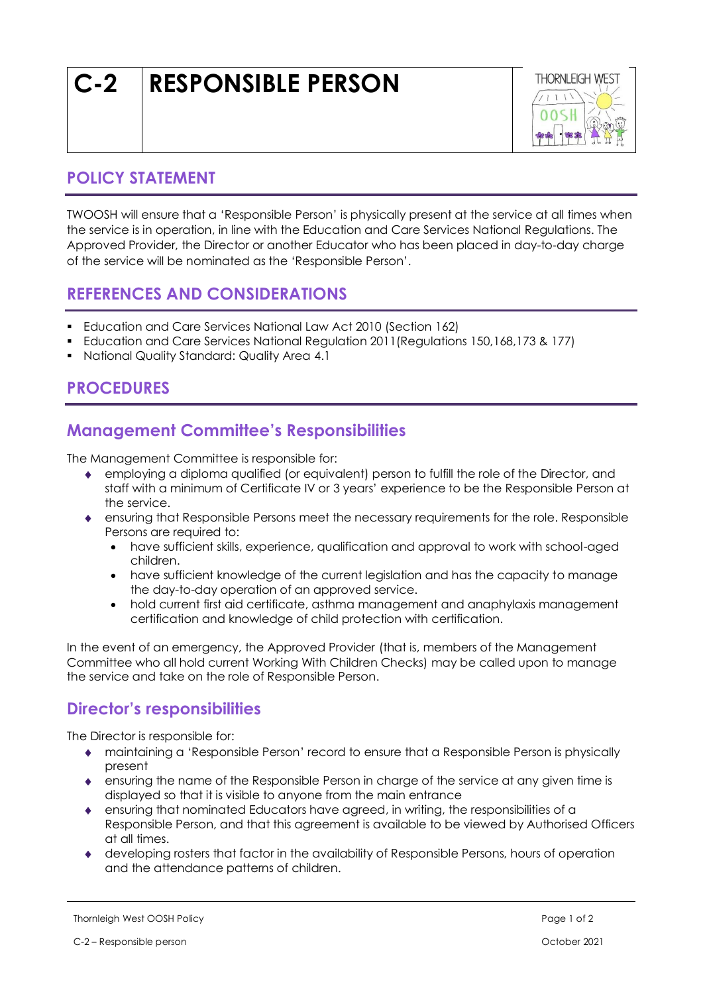# **C-2 RESPONSIBLE PERSON**



#### **POLICY STATEMENT**

TWOOSH will ensure that a 'Responsible Person' is physically present at the service at all times when the service is in operation, in line with the Education and Care Services National Regulations. The Approved Provider, the Director or another Educator who has been placed in day-to-day charge of the service will be nominated as the 'Responsible Person'.

#### **REFERENCES AND CONSIDERATIONS**

- Education and Care Services National Law Act 2010 (Section 162)
- Education and Care Services National Regulation 2011(Regulations 150,168,173 & 177)
- National Quality Standard: Quality Area 4.1

## **PROCEDURES**

## **Management Committee's Responsibilities**

The Management Committee is responsible for:

- employing a diploma qualified (or equivalent) person to fulfill the role of the Director, and staff with a minimum of Certificate IV or 3 years' experience to be the Responsible Person at the service.
- ensuring that Responsible Persons meet the necessary requirements for the role. Responsible Persons are required to:
	- have sufficient skills, experience, qualification and approval to work with school-aged children.
	- have sufficient knowledge of the current legislation and has the capacity to manage the day-to-day operation of an approved service.
	- hold current first aid certificate, asthma management and anaphylaxis management certification and knowledge of child protection with certification.

In the event of an emergency, the Approved Provider (that is, members of the Management Committee who all hold current Working With Children Checks) may be called upon to manage the service and take on the role of Responsible Person.

#### **Director's responsibilities**

The Director is responsible for:

- maintaining a 'Responsible Person' record to ensure that a Responsible Person is physically present
- ensuring the name of the Responsible Person in charge of the service at any given time is displayed so that it is visible to anyone from the main entrance
- $\bullet$  ensuring that nominated Educators have agreed, in writing, the responsibilities of a Responsible Person, and that this agreement is available to be viewed by Authorised Officers at all times.
- developing rosters that factor in the availability of Responsible Persons, hours of operation and the attendance patterns of children.